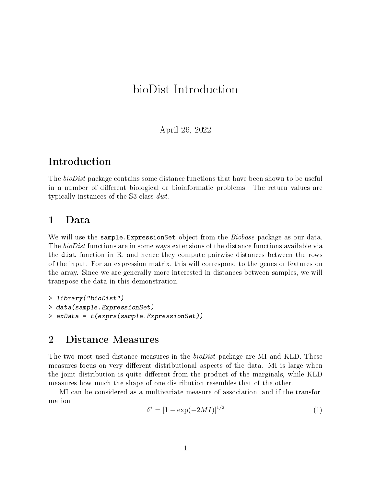# bioDist Introduction

April 26, 2022

## Introduction

The *bioDist* package contains some distance functions that have been shown to be useful in a number of different biological or bioinformatic problems. The return values are typically instances of the S3 class dist.

#### 1 Data

We will use the sample. ExpressionSet object from the *Biobase* package as our data. The bioDist functions are in some ways extensions of the distance functions available via the dist function in R, and hence they compute pairwise distances between the rows of the input. For an expression matrix, this will correspond to the genes or features on the array. Since we are generally more interested in distances between samples, we will transpose the data in this demonstration.

```
> library("bioDist")
> data(sample.ExpressionSet)
> exData = t(exprs(sample.ExpressionSet))
```
## 2 Distance Measures

The two most used distance measures in the *bioDist* package are MI and KLD. These measures focus on very different distributional aspects of the data. MI is large when the joint distribution is quite different from the product of the marginals, while KLD measures how much the shape of one distribution resembles that of the other.

MI can be considered as a multivariate measure of association, and if the transformation

<span id="page-0-0"></span>
$$
\delta^* = [1 - \exp(-2MI)]^{1/2} \tag{1}
$$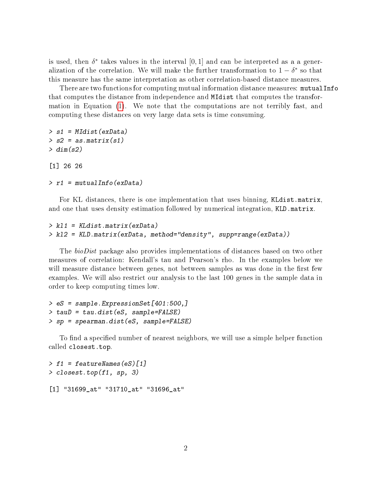is used, then  $\delta^*$  takes values in the interval  $[0,1]$  and can be interpreted as a a generalization of the correlation. We will make the further transformation to  $1 - \delta^*$  so that this measure has the same interpretation as other correlation-based distance measures.

There are two functions for computing mutual information distance measures: mutualInfo that computes the distance from independence and MIdist that computes the transformation in Equation [\(1\)](#page-0-0). We note that the computations are not terribly fast, and computing these distances on very large data sets is time consuming.

```
> s1 = MIdist(exData)
> s2 = as.matrix(s1)> dim(s2)
```
[1] 26 26

> r1 = mutualInfo(exData)

For KL distances, there is one implementation that uses binning, KLdist.matrix, and one that uses density estimation followed by numerical integration, KLD.matrix.

```
> kl1 = KLdist.matrix(exData)
> kl2 = KLD.matrix(exData, method="density", supp=range(exData))
```
The *bioDist* package also provides implementations of distances based on two other measures of correlation: Kendall's tau and Pearson's rho. In the examples below we will measure distance between genes, not between samples as was done in the first few examples. We will also restrict our analysis to the last 100 genes in the sample data in order to keep computing times low.

> eS = sample.ExpressionSet[401:500,] > tauD = tau.dist(eS, sample=FALSE) > sp = spearman.dist(eS, sample=FALSE)

To find a specified number of nearest neighbors, we will use a simple helper function called closest.top.

```
> f1 = featureNames(eS)[1]> closest.top(f1, sp, 3)
[1] "31699_at" "31710_at" "31696_at"
```